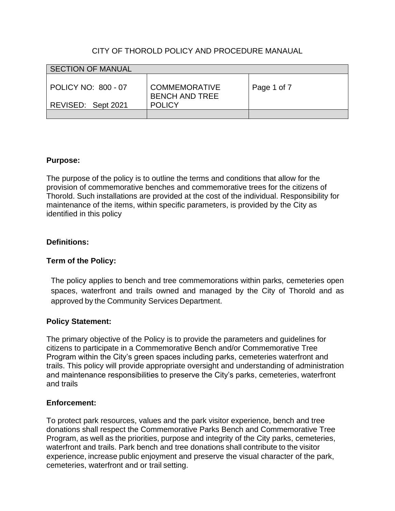# CITY OF THOROLD POLICY AND PROCEDURE MANAUAL

| <b>SECTION OF MANUAL</b>                  |                                                                |             |
|-------------------------------------------|----------------------------------------------------------------|-------------|
| POLICY NO: 800 - 07<br>REVISED: Sept 2021 | <b>COMMEMORATIVE</b><br><b>BENCH AND TREE</b><br><b>POLICY</b> | Page 1 of 7 |
|                                           |                                                                |             |

## **Purpose:**

The purpose of the policy is to outline the terms and conditions that allow for the provision of commemorative benches and commemorative trees for the citizens of Thorold. Such installations are provided at the cost of the individual. Responsibility for maintenance of the items, within specific parameters, is provided by the City as identified in this policy

# **Definitions:**

# **Term of the Policy:**

The policy applies to bench and tree commemorations within parks, cemeteries open spaces, waterfront and trails owned and managed by the City of Thorold and as approved by the Community Services Department.

# **Policy Statement:**

The primary objective of the Policy is to provide the parameters and guidelines for citizens to participate in a Commemorative Bench and/or Commemorative Tree Program within the City's green spaces including parks, cemeteries waterfront and trails. This policy will provide appropriate oversight and understanding of administration and maintenance responsibilities to preserve the City's parks, cemeteries, waterfront and trails

# **Enforcement:**

To protect park resources, values and the park visitor experience, bench and tree donations shall respect the Commemorative Parks Bench and Commemorative Tree Program, as well as the priorities, purpose and integrity of the City parks, cemeteries, waterfront and trails. Park bench and tree donations shall contribute to the visitor experience, increase public enjoyment and preserve the visual character of the park, cemeteries, waterfront and or trail setting.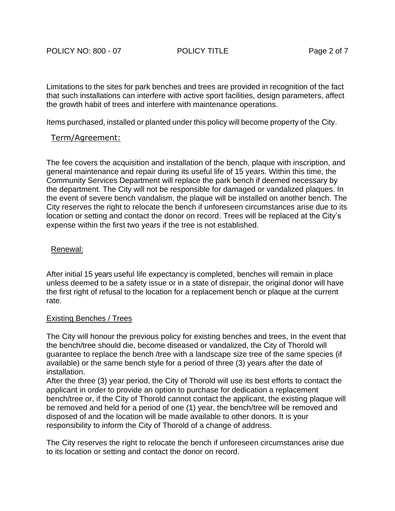Limitations to the sites for park benches and trees are provided in recognition of the fact that such installations can interfere with active sport facilities, design parameters, affect the growth habit of trees and interfere with maintenance operations.

Items purchased, installed or planted under this policy will become property of the City.

## Term/Agreement:

The fee covers the acquisition and installation of the bench, plaque with inscription, and general maintenance and repair during its useful life of 15 years. Within this time, the Community Services Department will replace the park bench if deemed necessary by the department. The City will not be responsible for damaged or vandalized plaques. In the event of severe bench vandalism, the plaque will be installed on another bench. The City reserves the right to relocate the bench if unforeseen circumstances arise due to its location or setting and contact the donor on record. Trees will be replaced at the City's expense within the first two years if the tree is not established.

## Renewal:

After initial 15 years useful life expectancy is completed, benches will remain in place unless deemed to be a safety issue or in a state of disrepair, the original donor will have the first right of refusal to the location for a replacement bench or plaque at the current rate.

## Existing Benches / Trees

The City will honour the previous policy for existing benches and trees, In the event that the bench/tree should die, become diseased or vandalized, the City of Thorold will guarantee to replace the bench /tree with a landscape size tree of the same species (if available) or the same bench style for a period of three (3) years after the date of installation.

After the three (3) year period, the City of Thorold will use its best efforts to contact the applicant in order to provide an option to purchase for dedication a replacement bench/tree or, if the City of Thorold cannot contact the applicant, the existing plaque will be removed and held for a period of one (1) year, the bench/tree will be removed and disposed of and the location will be made available to other donors. It is your responsibility to inform the City of Thorold of a change of address.

The City reserves the right to relocate the bench if unforeseen circumstances arise due to its location or setting and contact the donor on record.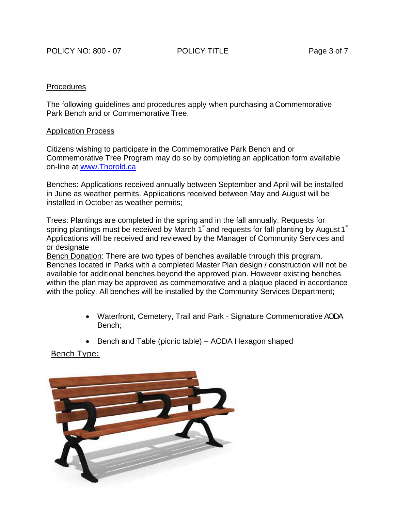#### Procedures

The following guidelines and procedures apply when purchasing a Commemorative Park Bench and or Commemorative Tree.

#### Application Process

Citizens wishing to participate in the Commemorative Park Bench and or Commemorative Tree Program may do so by completing an application form available on-line at [www.Thorold.ca](http://www.thorold.ca/)

Benches: Applications received annually between September and April will be installed in June as weather permits. Applications received between May and August will be installed in October as weather permits;

Trees: Plantings are completed in the spring and in the fall annually. Requests for spring plantings must be received by March 1<sup>st</sup> and requests for fall planting by August 1<sup>st</sup> Applications will be received and reviewed by the Manager of Community Services and or designate

Bench Donation: There are two types of benches available through this program. Benches located in Parks with a completed Master Plan design / construction will not be available for additional benches beyond the approved plan. However existing benches within the plan may be approved as commemorative and a plaque placed in accordance with the policy. All benches will be installed by the Community Services Department;

- Waterfront, Cemetery, Trail and Park Signature Commemorative AODA Bench;
- Bench and Table (picnic table) AODA Hexagon shaped

Bench Type:

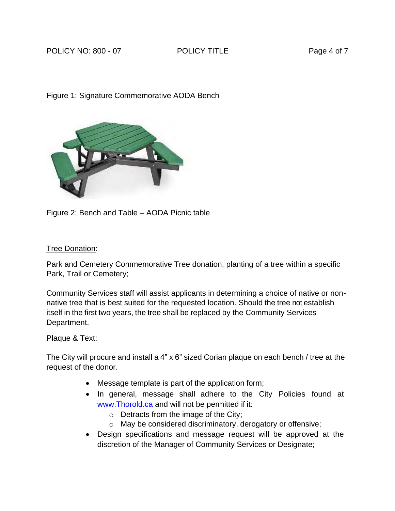# POLICY NO: 800 - 07 POLICY TITLE PAGE 4 of 7

# Figure 1: Signature Commemorative AODA Bench



Figure 2: Bench and Table – AODA Picnic table

# Tree Donation:

Park and Cemetery Commemorative Tree donation, planting of a tree within a specific Park, Trail or Cemetery;

Community Services staff will assist applicants in determining a choice of native or nonnative tree that is best suited for the requested location. Should the tree not establish itself in the first two years, the tree shall be replaced by the Community Services Department.

# Plaque & Text:

The City will procure and install a 4" x 6" sized Corian plaque on each bench / tree at the request of the donor.

- Message template is part of the application form;
- In general, message shall adhere to the City Policies found at www.Thorold.ca and will not be permitted if it:
	- o Detracts from the image of the City;
	- o May be considered discriminatory, derogatory or offensive;
- Design specifications and message request will be approved at the discretion of the Manager of Community Services or Designate;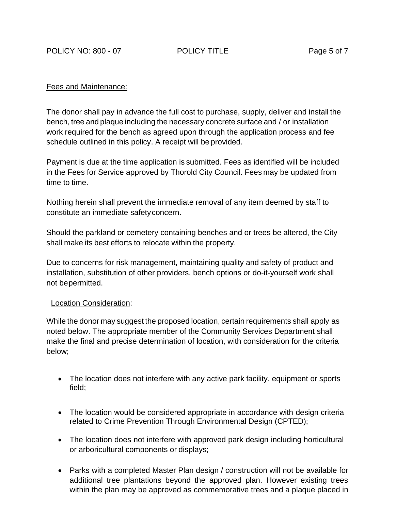POLICY NO: 800 - 07 POLICY TITLE PAGE 5 of 7

## Fees and Maintenance:

The donor shall pay in advance the full cost to purchase, supply, deliver and install the bench, tree and plaque including the necessary concrete surface and / or installation work required for the bench as agreed upon through the application process and fee schedule outlined in this policy. A receipt will be provided.

Payment is due at the time application is submitted. Fees as identified will be included in the Fees for Service approved by Thorold City Council. Fees may be updated from time to time.

Nothing herein shall prevent the immediate removal of any item deemed by staff to constitute an immediate safetyconcern.

Should the parkland or cemetery containing benches and or trees be altered, the City shall make its best efforts to relocate within the property.

Due to concerns for risk management, maintaining quality and safety of product and installation, substitution of other providers, bench options or do-it-yourself work shall not bepermitted.

## Location Consideration:

While the donor may suggest the proposed location, certain requirements shall apply as noted below. The appropriate member of the Community Services Department shall make the final and precise determination of location, with consideration for the criteria below;

- The location does not interfere with any active park facility, equipment or sports field;
- The location would be considered appropriate in accordance with design criteria related to Crime Prevention Through Environmental Design (CPTED);
- The location does not interfere with approved park design including horticultural or arboricultural components or displays;
- Parks with a completed Master Plan design / construction will not be available for additional tree plantations beyond the approved plan. However existing trees within the plan may be approved as commemorative trees and a plaque placed in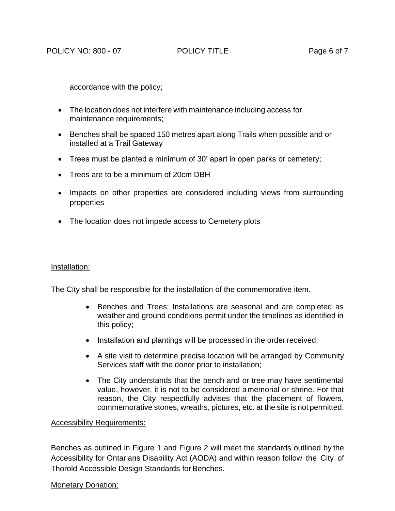accordance with the policy;

- The location does not interfere with maintenance including access for maintenance requirements;
- Benches shall be spaced 150 metres apart along Trails when possible and or installed at a Trail Gateway
- Trees must be planted a minimum of 30' apart in open parks or cemetery;
- Trees are to be a minimum of 20cm DBH
- Impacts on other properties are considered including views from surrounding properties
- The location does not impede access to Cemetery plots

## Installation:

The City shall be responsible for the installation of the commemorative item.

- Benches and Trees: Installations are seasonal and are completed as weather and ground conditions permit under the timelines as identified in this policy;
- Installation and plantings will be processed in the order received;
- A site visit to determine precise location will be arranged by Community Services staff with the donor prior to installation;
- The City understands that the bench and or tree may have sentimental value, however, it is not to be considered amemorial or shrine. For that reason, the City respectfully advises that the placement of flowers, commemorative stones, wreaths, pictures, etc. at the site is not permitted.

## Accessibility Requirements:

Benches as outlined in Figure 1 and Figure 2 will meet the standards outlined by the Accessibility for Ontarians Disability Act (AODA) and within reason follow the City of Thorold Accessible Design Standards for Benches.

# Monetary Donation: